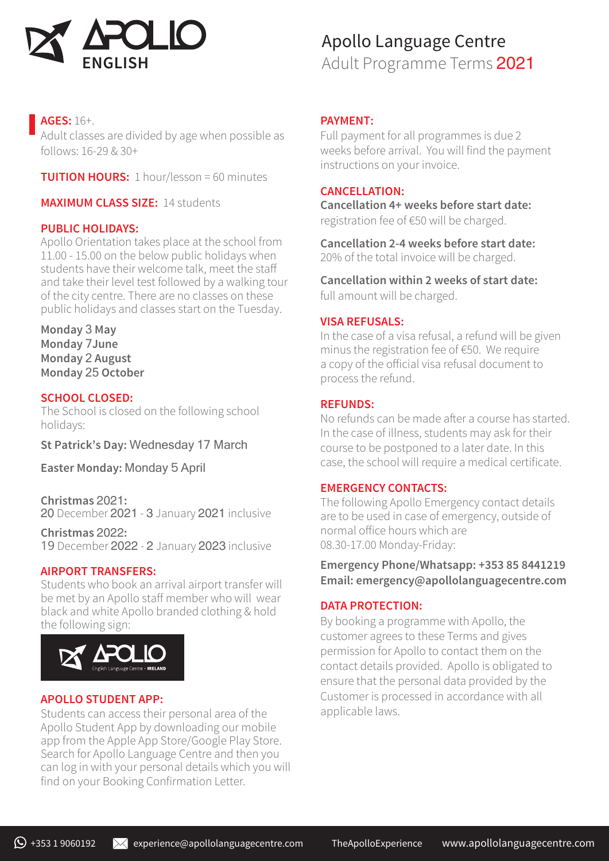

## **AGES:** 16+.

Adult classes are divided by age when possible as follows: 16-29 & 30+

**TUITION HOURS:** 1 hour/lesson = 60 minutes

**MAXIMUM CLASS SIZE:** 14 students

#### **PUBLIC HOLIDAYS:**

Apollo Orientation takes place at the school from 11.00 - 15.00 on the below public holidays when students have their welcome talk, meet the staff and take their level test followed by a walking tour of the city centre. There are no classes on these public holidays and classes start on the Tuesday.

**Monday** 3 **May Monday** 7**June Monday** 2 **August Monday** 25 **October**

#### **SCHOOL CLOSED:**

The School is closed on the following school holidays:

**St Patrick's Day:** Wednesday 17 March

**Easter Monday:** Monday 5 April

**Christmas** 2021**:**  20 December 2021 - 3 January 2021 inclusive

**Christmas** 2022**:**  19 December 2022 - 2 January 2023 inclusive

#### **AIRPORT TRANSFERS:**

Students who book an arrival airport transfer will be met by an Apollo staff member who will wear black and white Apollo branded clothing & hold the following sign:



#### **APOLLO STUDENT APP:**

Students can access their personal area of the Apollo Student App by downloading our mobile app from the Apple App Store/Google Play Store. Search for Apollo Language Centre and then you can log in with your personal details which you will find on your Booking Confirmation Letter.

# Apollo Language Centre

Adult Programme Terms 2021

#### **PAYMENT:**

Full payment for all programmes is due 2 weeks before arrival. You will find the payment instructions on your invoice.

#### **CANCELLATION:**

**Cancellation 4+ weeks before start date:**  registration fee of €50 will be charged.

**Cancellation 2-4 weeks before start date:** 20% of the total invoice will be charged.

**Cancellation within 2 weeks of start date:**  full amount will be charged.

#### **VISA REFUSALS:**

In the case of a visa refusal, a refund will be given minus the registration fee of €50. We require a copy of the official visa refusal document to process the refund.

#### **REFUNDS:**

No refunds can be made after a course has started. In the case of illness, students may ask for their course to be postponed to a later date. In this case, the school will require a medical certificate.

#### **EMERGENCY CONTACTS:**

The following Apollo Emergency contact details are to be used in case of emergency, outside of normal office hours which are 08.30-17.00 Monday-Friday:

**Emergency Phone/Whatsapp: +353 85 8441219 Email: emergency@apollolanguagecentre.com**

#### **DATA PROTECTION:**

By booking a programme with Apollo, the customer agrees to these Terms and gives permission for Apollo to contact them on the contact details provided. Apollo is obligated to ensure that the personal data provided by the Customer is processed in accordance with all applicable laws.